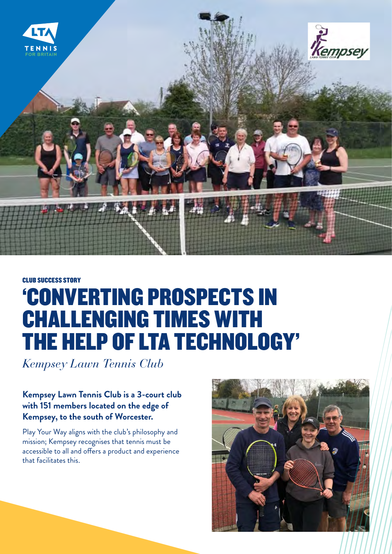

## CLUB SUCCESS STORY 'CONVERTING PROSPECTS IN CHALLENGING TIMES WITH THE HELP OF LTA TECHNOLOGY'

*Kempsey Lawn Tennis Club*

## **Kempsey Lawn Tennis Club is a 3-court club with 151 members located on the edge of Kempsey, to the south of Worcester.**

Play Your Way aligns with the club's philosophy and mission; Kempsey recognises that tennis must be accessible to all and offers a product and experience that facilitates this.